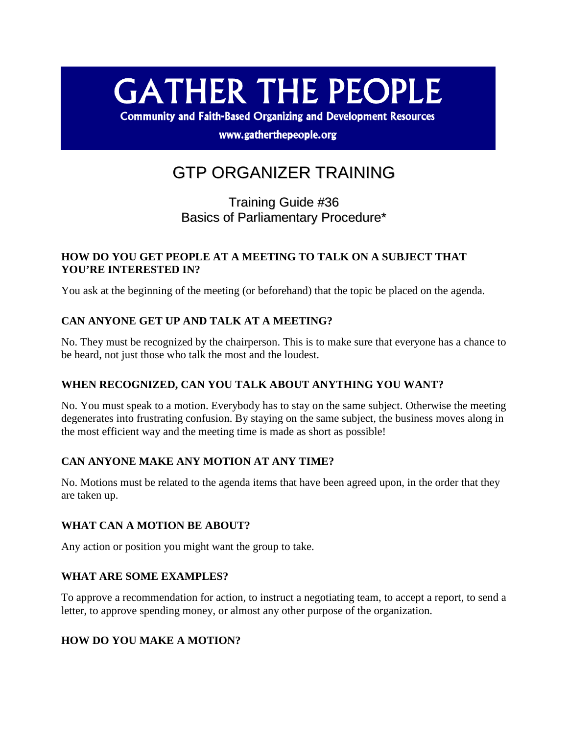# **GATHER THE PEOPLE**

**Community and Faith-Based Organizing and Development Resources** 

www.gatherthepeople.org

## GTP ORGANIZER TRAINING

### Training Guide #36 Basics of Parliamentary Procedure\*

#### **HOW DO YOU GET PEOPLE AT A MEETING TO TALK ON A SUBJECT THAT YOU'RE INTERESTED IN?**

You ask at the beginning of the meeting (or beforehand) that the topic be placed on the agenda.

#### **CAN ANYONE GET UP AND TALK AT A MEETING?**

No. They must be recognized by the chairperson. This is to make sure that everyone has a chance to be heard, not just those who talk the most and the loudest.

#### **WHEN RECOGNIZED, CAN YOU TALK ABOUT ANYTHING YOU WANT?**

No. You must speak to a motion. Everybody has to stay on the same subject. Otherwise the meeting degenerates into frustrating confusion. By staying on the same subject, the business moves along in the most efficient way and the meeting time is made as short as possible!

#### **CAN ANYONE MAKE ANY MOTION AT ANY TIME?**

No. Motions must be related to the agenda items that have been agreed upon, in the order that they are taken up.

#### **WHAT CAN A MOTION BE ABOUT?**

Any action or position you might want the group to take.

#### **WHAT ARE SOME EXAMPLES?**

To approve a recommendation for action, to instruct a negotiating team, to accept a report, to send a letter, to approve spending money, or almost any other purpose of the organization.

#### **HOW DO YOU MAKE A MOTION?**